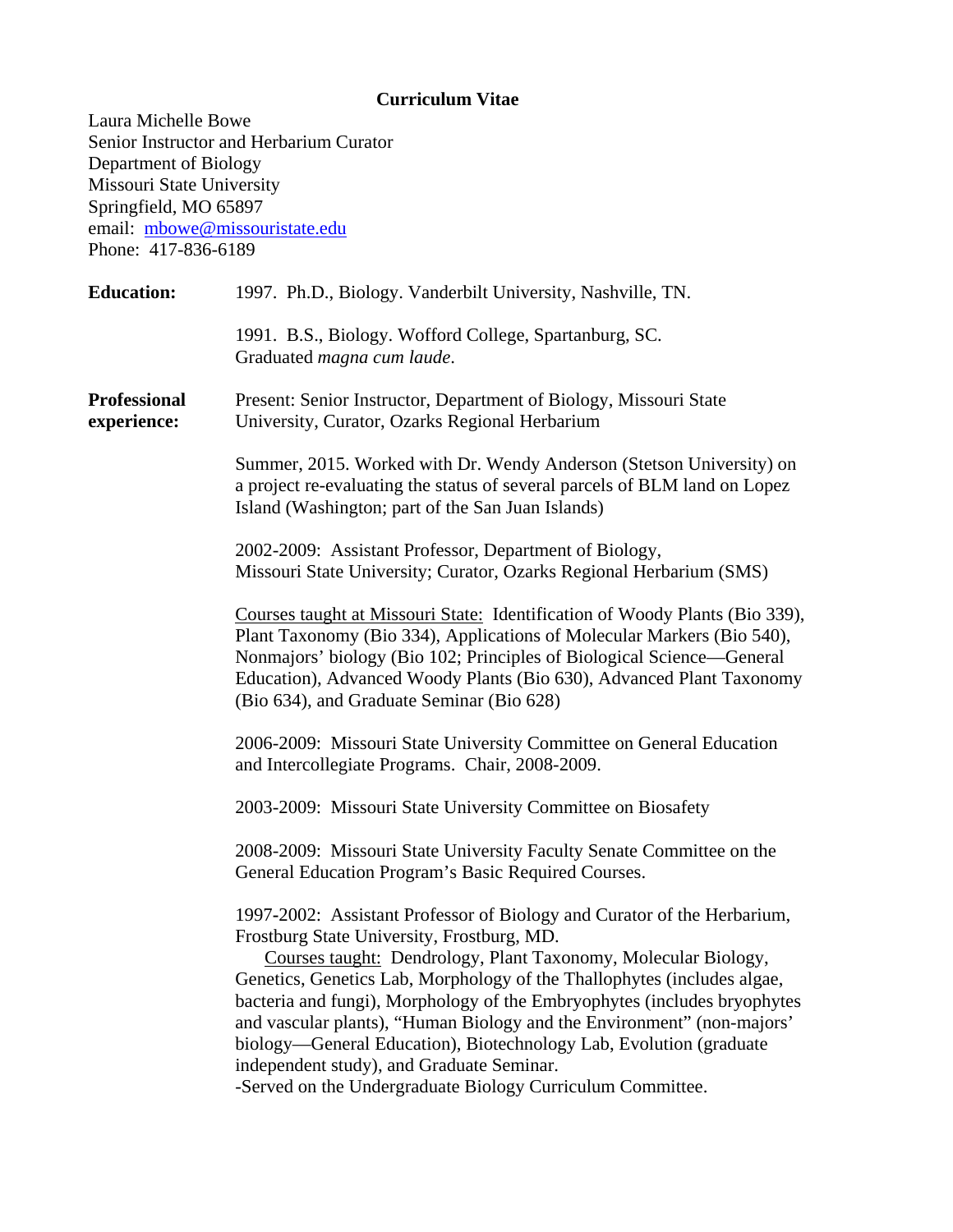## **Curriculum Vitae**

| Laura Michelle Bowe<br>Senior Instructor and Herbarium Curator<br>Department of Biology<br>Missouri State University<br>Springfield, MO 65897<br>email: mbowe@missouristate.edu<br>Phone: 417-836-6189 |                                                                                                                                                                                                                                                                                                                                                                                                                                                                                                                                                                                                           |  |
|--------------------------------------------------------------------------------------------------------------------------------------------------------------------------------------------------------|-----------------------------------------------------------------------------------------------------------------------------------------------------------------------------------------------------------------------------------------------------------------------------------------------------------------------------------------------------------------------------------------------------------------------------------------------------------------------------------------------------------------------------------------------------------------------------------------------------------|--|
| <b>Education:</b>                                                                                                                                                                                      | 1997. Ph.D., Biology. Vanderbilt University, Nashville, TN.                                                                                                                                                                                                                                                                                                                                                                                                                                                                                                                                               |  |
|                                                                                                                                                                                                        | 1991. B.S., Biology. Wofford College, Spartanburg, SC.<br>Graduated magna cum laude.                                                                                                                                                                                                                                                                                                                                                                                                                                                                                                                      |  |
| <b>Professional</b><br>experience:                                                                                                                                                                     | Present: Senior Instructor, Department of Biology, Missouri State<br>University, Curator, Ozarks Regional Herbarium                                                                                                                                                                                                                                                                                                                                                                                                                                                                                       |  |
|                                                                                                                                                                                                        | Summer, 2015. Worked with Dr. Wendy Anderson (Stetson University) on<br>a project re-evaluating the status of several parcels of BLM land on Lopez<br>Island (Washington; part of the San Juan Islands)                                                                                                                                                                                                                                                                                                                                                                                                   |  |
|                                                                                                                                                                                                        | 2002-2009: Assistant Professor, Department of Biology,<br>Missouri State University; Curator, Ozarks Regional Herbarium (SMS)                                                                                                                                                                                                                                                                                                                                                                                                                                                                             |  |
|                                                                                                                                                                                                        | Courses taught at Missouri State: Identification of Woody Plants (Bio 339),<br>Plant Taxonomy (Bio 334), Applications of Molecular Markers (Bio 540),<br>Nonmajors' biology (Bio 102; Principles of Biological Science—General<br>Education), Advanced Woody Plants (Bio 630), Advanced Plant Taxonomy<br>(Bio 634), and Graduate Seminar (Bio 628)                                                                                                                                                                                                                                                       |  |
|                                                                                                                                                                                                        | 2006-2009: Missouri State University Committee on General Education<br>and Intercollegiate Programs. Chair, 2008-2009.                                                                                                                                                                                                                                                                                                                                                                                                                                                                                    |  |
|                                                                                                                                                                                                        | 2003-2009: Missouri State University Committee on Biosafety                                                                                                                                                                                                                                                                                                                                                                                                                                                                                                                                               |  |
|                                                                                                                                                                                                        | 2008-2009: Missouri State University Faculty Senate Committee on the<br>General Education Program's Basic Required Courses.                                                                                                                                                                                                                                                                                                                                                                                                                                                                               |  |
|                                                                                                                                                                                                        | 1997-2002: Assistant Professor of Biology and Curator of the Herbarium,<br>Frostburg State University, Frostburg, MD.<br>Courses taught: Dendrology, Plant Taxonomy, Molecular Biology,<br>Genetics, Genetics Lab, Morphology of the Thallophytes (includes algae,<br>bacteria and fungi), Morphology of the Embryophytes (includes bryophytes<br>and vascular plants), "Human Biology and the Environment" (non-majors'<br>biology—General Education), Biotechnology Lab, Evolution (graduate<br>independent study), and Graduate Seminar.<br>-Served on the Undergraduate Biology Curriculum Committee. |  |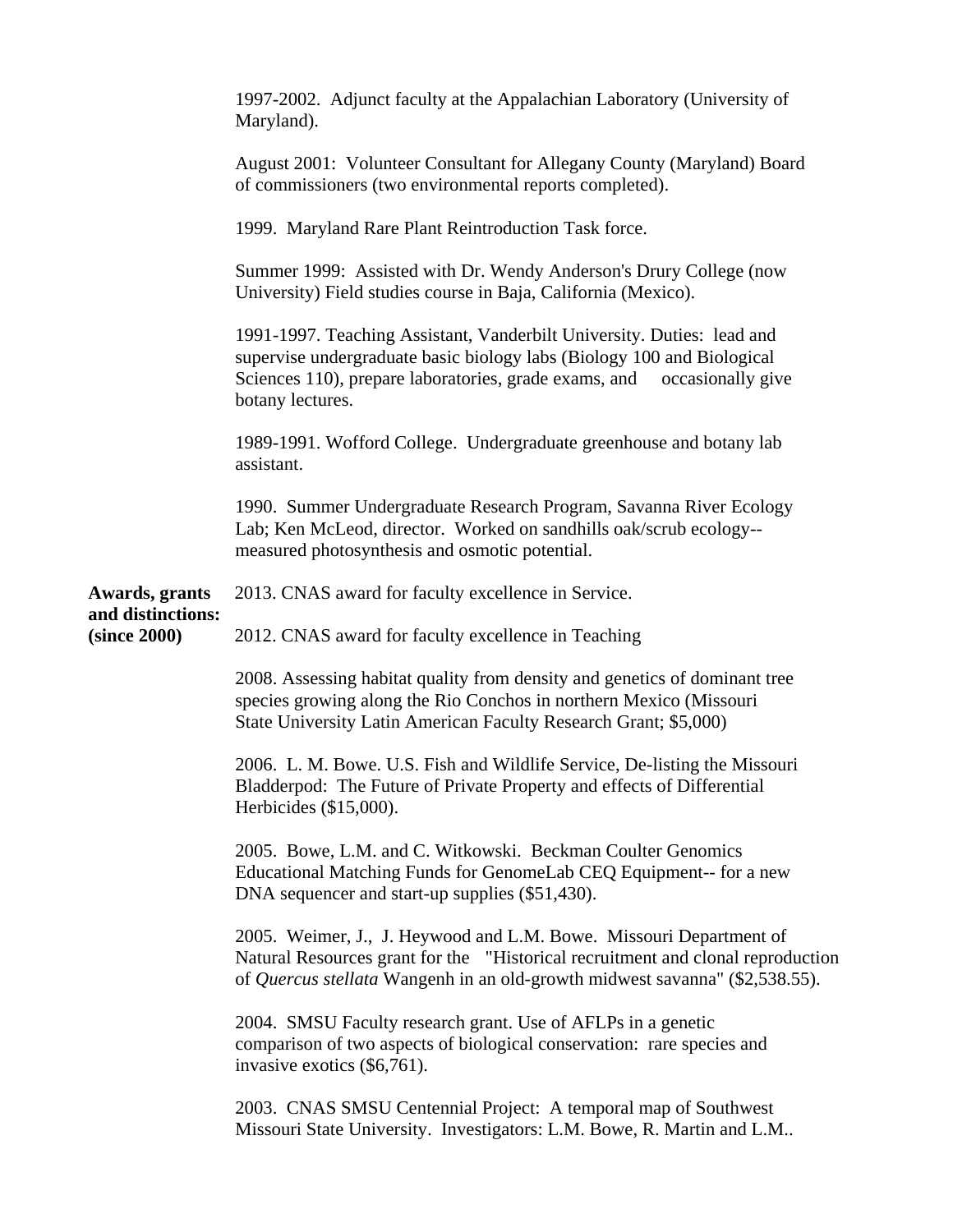|                                   | 1997-2002. Adjunct faculty at the Appalachian Laboratory (University of<br>Maryland).                                                                                                                                                           |
|-----------------------------------|-------------------------------------------------------------------------------------------------------------------------------------------------------------------------------------------------------------------------------------------------|
|                                   | August 2001: Volunteer Consultant for Allegany County (Maryland) Board<br>of commissioners (two environmental reports completed).                                                                                                               |
|                                   | 1999. Maryland Rare Plant Reintroduction Task force.                                                                                                                                                                                            |
|                                   | Summer 1999: Assisted with Dr. Wendy Anderson's Drury College (now<br>University) Field studies course in Baja, California (Mexico).                                                                                                            |
|                                   | 1991-1997. Teaching Assistant, Vanderbilt University. Duties: lead and<br>supervise undergraduate basic biology labs (Biology 100 and Biological<br>Sciences 110), prepare laboratories, grade exams, and occasionally give<br>botany lectures. |
|                                   | 1989-1991. Wofford College. Undergraduate greenhouse and botany lab<br>assistant.                                                                                                                                                               |
|                                   | 1990. Summer Undergraduate Research Program, Savanna River Ecology<br>Lab; Ken McLeod, director. Worked on sandhills oak/scrub ecology--<br>measured photosynthesis and osmotic potential.                                                      |
| Awards, grants                    | 2013. CNAS award for faculty excellence in Service.                                                                                                                                                                                             |
| and distinctions:<br>(since 2000) | 2012. CNAS award for faculty excellence in Teaching                                                                                                                                                                                             |
|                                   | 2008. Assessing habitat quality from density and genetics of dominant tree<br>species growing along the Rio Conchos in northern Mexico (Missouri<br>State University Latin American Faculty Research Grant; \$5,000)                            |
|                                   | 2006. L. M. Bowe. U.S. Fish and Wildlife Service, De-listing the Missouri<br>Bladderpod: The Future of Private Property and effects of Differential<br>Herbicides $(\$15,000)$ .                                                                |
|                                   | 2005. Bowe, L.M. and C. Witkowski. Beckman Coulter Genomics<br>Educational Matching Funds for GenomeLab CEQ Equipment-- for a new<br>DNA sequencer and start-up supplies (\$51,430).                                                            |
|                                   | 2005. Weimer, J., J. Heywood and L.M. Bowe. Missouri Department of<br>Natural Resources grant for the "Historical recruitment and clonal reproduction<br>of Quercus stellata Wangenh in an old-growth midwest savanna" (\$2,538.55).            |
|                                   | 2004. SMSU Faculty research grant. Use of AFLPs in a genetic<br>comparison of two aspects of biological conservation: rare species and<br>invasive exotics (\$6,761).                                                                           |
|                                   | 2003. CNAS SMSU Centennial Project: A temporal map of Southwest<br>Missouri State University. Investigators: L.M. Bowe, R. Martin and L.M                                                                                                       |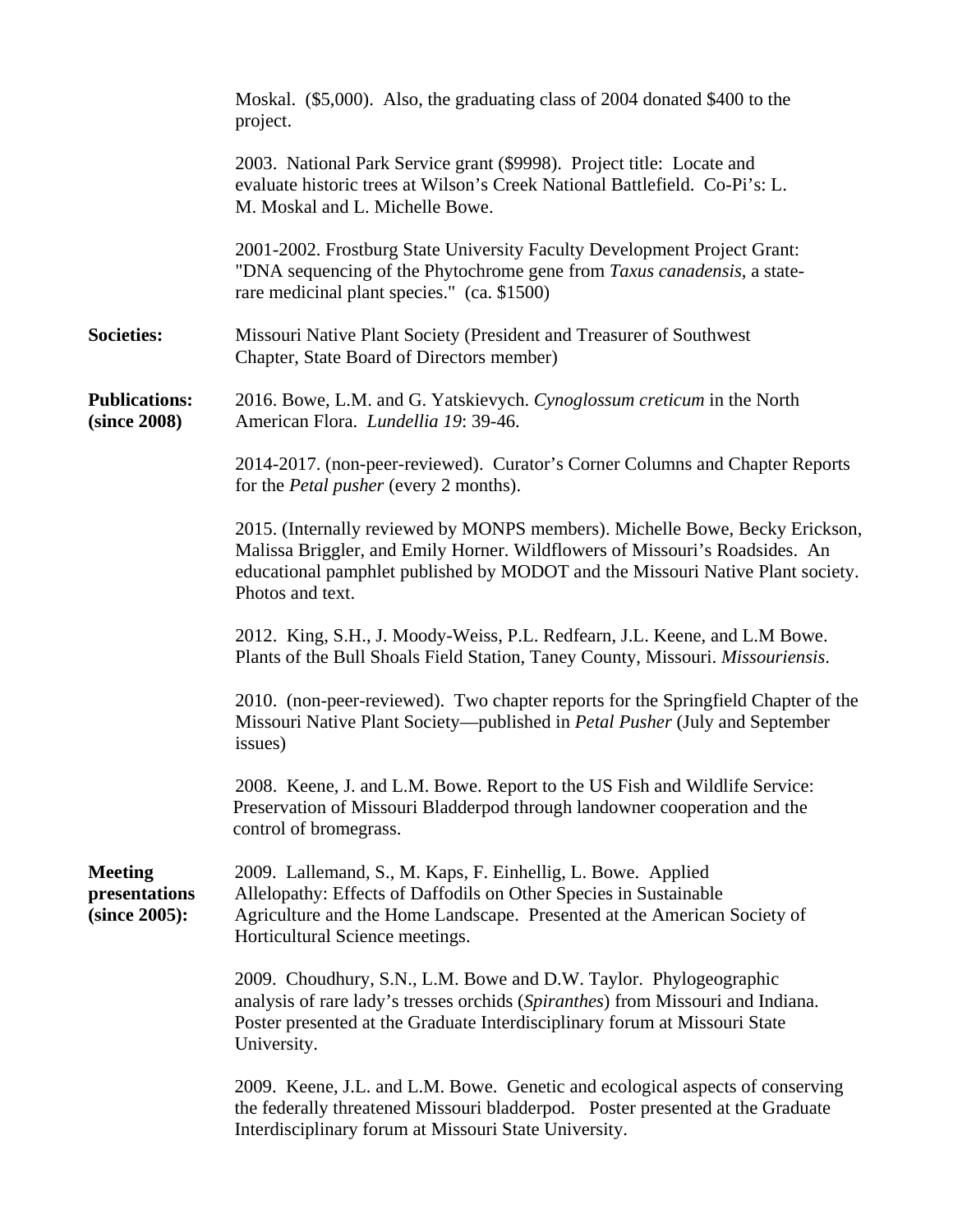|                                                  | Moskal. (\$5,000). Also, the graduating class of 2004 donated \$400 to the<br>project.                                                                                                                                                                            |
|--------------------------------------------------|-------------------------------------------------------------------------------------------------------------------------------------------------------------------------------------------------------------------------------------------------------------------|
|                                                  | 2003. National Park Service grant (\$9998). Project title: Locate and<br>evaluate historic trees at Wilson's Creek National Battlefield. Co-Pi's: L.<br>M. Moskal and L. Michelle Bowe.                                                                           |
|                                                  | 2001-2002. Frostburg State University Faculty Development Project Grant:<br>"DNA sequencing of the Phytochrome gene from Taxus canadensis, a state-<br>rare medicinal plant species." (ca. \$1500)                                                                |
| <b>Societies:</b>                                | Missouri Native Plant Society (President and Treasurer of Southwest<br>Chapter, State Board of Directors member)                                                                                                                                                  |
| <b>Publications:</b><br>(since 2008)             | 2016. Bowe, L.M. and G. Yatskievych. Cynoglossum creticum in the North<br>American Flora. Lundellia 19: 39-46.                                                                                                                                                    |
|                                                  | 2014-2017. (non-peer-reviewed). Curator's Corner Columns and Chapter Reports<br>for the <i>Petal pusher</i> (every 2 months).                                                                                                                                     |
|                                                  | 2015. (Internally reviewed by MONPS members). Michelle Bowe, Becky Erickson,<br>Malissa Briggler, and Emily Horner. Wildflowers of Missouri's Roadsides. An<br>educational pamphlet published by MODOT and the Missouri Native Plant society.<br>Photos and text. |
|                                                  | 2012. King, S.H., J. Moody-Weiss, P.L. Redfearn, J.L. Keene, and L.M Bowe.<br>Plants of the Bull Shoals Field Station, Taney County, Missouri. Missouriensis.                                                                                                     |
|                                                  | 2010. (non-peer-reviewed). Two chapter reports for the Springfield Chapter of the<br>Missouri Native Plant Society—published in Petal Pusher (July and September<br>issues)                                                                                       |
|                                                  | 2008. Keene, J. and L.M. Bowe. Report to the US Fish and Wildlife Service:<br>Preservation of Missouri Bladderpod through landowner cooperation and the<br>control of bromegrass.                                                                                 |
| <b>Meeting</b><br>presentations<br>(since 2005): | 2009. Lallemand, S., M. Kaps, F. Einhellig, L. Bowe. Applied<br>Allelopathy: Effects of Daffodils on Other Species in Sustainable<br>Agriculture and the Home Landscape. Presented at the American Society of<br>Horticultural Science meetings.                  |
|                                                  | 2009. Choudhury, S.N., L.M. Bowe and D.W. Taylor. Phylogeographic<br>analysis of rare lady's tresses orchids (Spiranthes) from Missouri and Indiana.<br>Poster presented at the Graduate Interdisciplinary forum at Missouri State<br>University.                 |
|                                                  | 2009. Keene, J.L. and L.M. Bowe. Genetic and ecological aspects of conserving<br>the federally threatened Missouri bladderpod. Poster presented at the Graduate<br>Interdisciplinary forum at Missouri State University.                                          |